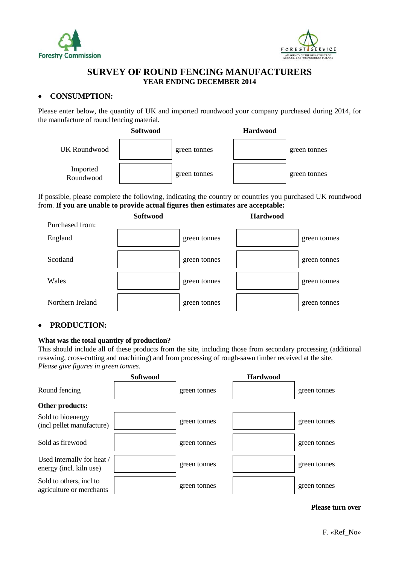



## **SURVEY OF ROUND FENCING MANUFACTURERS YEAR ENDING DECEMBER 2014**

## **CONSUMPTION:**

Please enter below, the quantity of UK and imported roundwood your company purchased during 2014, for the manufacture of round fencing material.



If possible, please complete the following, indicating the country or countries you purchased UK roundwood from. **If you are unable to provide actual figures then estimates are acceptable:** 



## **PRODUCTION:**

### **What was the total quantity of production?**

This should include all of these products from the site, including those from secondary processing (additional resawing, cross-cutting and machining) and from processing of rough-sawn timber received at the site. *Please give figures in green tonnes.* 

|                                                       | <b>Softwood</b> |              | <b>Hardwood</b> |              |
|-------------------------------------------------------|-----------------|--------------|-----------------|--------------|
| Round fencing                                         |                 | green tonnes |                 | green tonnes |
| Other products:                                       |                 |              |                 |              |
| Sold to bioenergy<br>(incl pellet manufacture)        |                 | green tonnes |                 | green tonnes |
| Sold as firewood                                      |                 | green tonnes |                 | green tonnes |
| Used internally for heat /<br>energy (incl. kiln use) |                 | green tonnes |                 | green tonnes |
| Sold to others, incl to<br>agriculture or merchants   |                 | green tonnes |                 | green tonnes |

#### **Please turn over**